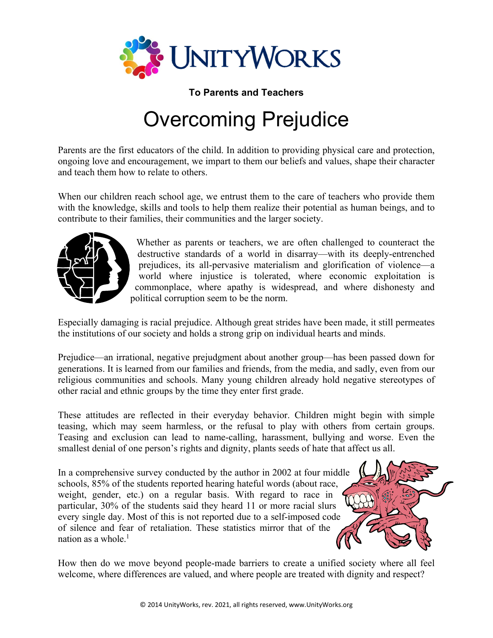

**To Parents and Teachers** 

## Overcoming Prejudice

Parents are the first educators of the child. In addition to providing physical care and protection, ongoing love and encouragement, we impart to them our beliefs and values, shape their character and teach them how to relate to others.

When our children reach school age, we entrust them to the care of teachers who provide them with the knowledge, skills and tools to help them realize their potential as human beings, and to contribute to their families, their communities and the larger society.



Whether as parents or teachers, we are often challenged to counteract the destructive standards of a world in disarray—with its deeply-entrenched prejudices, its all-pervasive materialism and glorification of violence—a world where injustice is tolerated, where economic exploitation is commonplace, where apathy is widespread, and where dishonesty and political corruption seem to be the norm.

Especially damaging is racial prejudice. Although great strides have been made, it still permeates the institutions of our society and holds a strong grip on individual hearts and minds.

Prejudice—an irrational, negative prejudgment about another group—has been passed down for generations. It is learned from our families and friends, from the media, and sadly, even from our religious communities and schools. Many young children already hold negative stereotypes of other racial and ethnic groups by the time they enter first grade.

These attitudes are reflected in their everyday behavior. Children might begin with simple teasing, which may seem harmless, or the refusal to play with others from certain groups. Teasing and exclusion can lead to name-calling, harassment, bullying and worse. Even the smallest denial of one person's rights and dignity, plants seeds of hate that affect us all.

In a comprehensive survey conducted by the author in 2002 at four middle schools, 85% of the students reported hearing hateful words (about race, weight, gender, etc.) on a regular basis. With regard to race in particular, 30% of the students said they heard 11 or more racial slurs every single day. Most of this is not reported due to a self-imposed code of silence and fear of retaliation. These statistics mirror that of the nation as a whole. $<sup>1</sup>$ </sup>



How then do we move beyond people-made barriers to create a unified society where all feel welcome, where differences are valued, and where people are treated with dignity and respect?